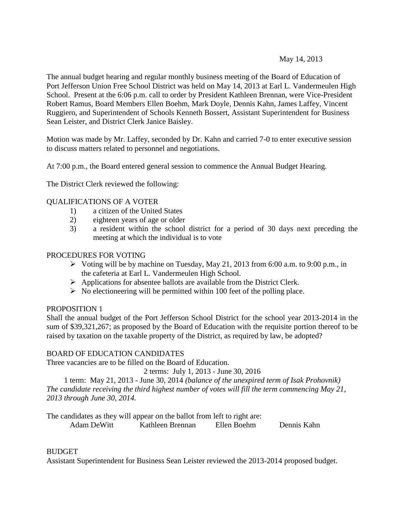# May 14, 2013

The annual budget hearing and regular monthly business meeting of the Board of Education of Port Jefferson Union Free School District was held on May 14, 2013 at Earl L. Vandermeulen High School. Present at the 6:06 p.m. call to order by President Kathleen Brennan, were Vice-President Robert Ramus, Board Members Ellen Boehm, Mark Doyle, Dennis Kahn, James Laffey, Vincent Ruggiero, and Superintendent of Schools Kenneth Bossert, Assistant Superintendent for Business Sean Leister, and District Clerk Janice Baisley.

Motion was made by Mr. Laffey, seconded by Dr. Kahn and carried 7-0 to enter executive session to discuss matters related to personnel and negotiations.

At 7:00 p.m., the Board entered general session to commence the Annual Budget Hearing.

The District Clerk reviewed the following:

# QUALIFICATIONS OF A VOTER

- 1) a citizen of the United States
- 2) eighteen years of age or older
- 3) a resident within the school district for a period of 30 days next preceding the meeting at which the individual is to vote

# PROCEDURES FOR VOTING

- $\triangleright$  Voting will be by machine on Tuesday, May 21, 2013 from 6:00 a.m. to 9:00 p.m., in the cafeteria at Earl L. Vandermeulen High School.
- $\triangleright$  Applications for absentee ballots are available from the District Clerk.
- $\triangleright$  No electioneering will be permitted within 100 feet of the polling place.

# PROPOSITION 1

Shall the annual budget of the Port Jefferson School District for the school year 2013-2014 in the sum of \$39,321,267; as proposed by the Board of Education with the requisite portion thereof to be raised by taxation on the taxable property of the District, as required by law, be adopted?

# BOARD OF EDUCATION CANDIDATES

Three vacancies are to be filled on the Board of Education.

2 terms: July 1, 2013 - June 30, 2016

1 term: May 21, 2013 - June 30, 2014 *(balance of the unexpired term of Isak Prohovnik) The candidate receiving the third highest number of votes will fill the term commencing May 21, 2013 through June 30, 2014.*

The candidates as they will appear on the ballot from left to right are:

Adam DeWitt Kathleen Brennan Ellen Boehm Dennis Kahn

# BUDGET

Assistant Superintendent for Business Sean Leister reviewed the 2013-2014 proposed budget.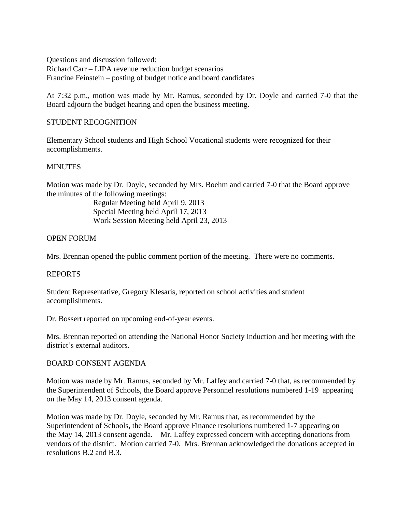Questions and discussion followed: Richard Carr – LIPA revenue reduction budget scenarios Francine Feinstein – posting of budget notice and board candidates

At 7:32 p.m., motion was made by Mr. Ramus, seconded by Dr. Doyle and carried 7-0 that the Board adjourn the budget hearing and open the business meeting.

# STUDENT RECOGNITION

Elementary School students and High School Vocational students were recognized for their accomplishments.

# **MINUTES**

Motion was made by Dr. Doyle, seconded by Mrs. Boehm and carried 7-0 that the Board approve the minutes of the following meetings:

> Regular Meeting held April 9, 2013 Special Meeting held April 17, 2013 Work Session Meeting held April 23, 2013

# OPEN FORUM

Mrs. Brennan opened the public comment portion of the meeting. There were no comments.

# REPORTS

Student Representative, Gregory Klesaris, reported on school activities and student accomplishments.

Dr. Bossert reported on upcoming end-of-year events.

Mrs. Brennan reported on attending the National Honor Society Induction and her meeting with the district's external auditors.

### BOARD CONSENT AGENDA

Motion was made by Mr. Ramus, seconded by Mr. Laffey and carried 7-0 that, as recommended by the Superintendent of Schools, the Board approve Personnel resolutions numbered 1-19 appearing on the May 14, 2013 consent agenda.

Motion was made by Dr. Doyle, seconded by Mr. Ramus that, as recommended by the Superintendent of Schools, the Board approve Finance resolutions numbered 1-7 appearing on the May 14, 2013 consent agenda. Mr. Laffey expressed concern with accepting donations from vendors of the district. Motion carried 7-0. Mrs. Brennan acknowledged the donations accepted in resolutions B.2 and B.3.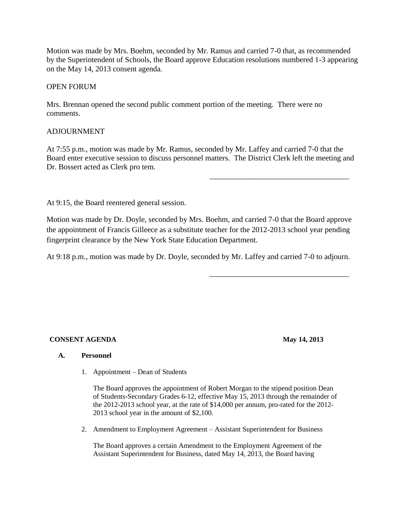Motion was made by Mrs. Boehm, seconded by Mr. Ramus and carried 7-0 that, as recommended by the Superintendent of Schools, the Board approve Education resolutions numbered 1-3 appearing on the May 14, 2013 consent agenda.

# OPEN FORUM

Mrs. Brennan opened the second public comment portion of the meeting. There were no comments.

# ADJOURNMENT

At 7:55 p.m., motion was made by Mr. Ramus, seconded by Mr. Laffey and carried 7-0 that the Board enter executive session to discuss personnel matters. The District Clerk left the meeting and Dr. Bossert acted as Clerk pro tem.

At 9:15, the Board reentered general session.

Motion was made by Dr. Doyle, seconded by Mrs. Boehm, and carried 7-0 that the Board approve the appointment of Francis Gilleece as a substitute teacher for the 2012-2013 school year pending fingerprint clearance by the New York State Education Department.

At 9:18 p.m., motion was made by Dr. Doyle, seconded by Mr. Laffey and carried 7-0 to adjourn.

# **CONSENT AGENDA** May 14, 2013

\_\_\_\_\_\_\_\_\_\_\_\_\_\_\_\_\_\_\_\_\_\_\_\_\_\_\_\_\_\_\_\_\_\_\_\_

\_\_\_\_\_\_\_\_\_\_\_\_\_\_\_\_\_\_\_\_\_\_\_\_\_\_\_\_\_\_\_\_\_\_\_\_

#### **A. Personnel**

1. Appointment – Dean of Students

The Board approves the appointment of Robert Morgan to the stipend position Dean of Students-Secondary Grades 6-12, effective May 15, 2013 through the remainder of the 2012-2013 school year, at the rate of \$14,000 per annum, pro-rated for the 2012- 2013 school year in the amount of \$2,100.

2. Amendment to Employment Agreement – Assistant Superintendent for Business

The Board approves a certain Amendment to the Employment Agreement of the Assistant Superintendent for Business, dated May 14, 2013, the Board having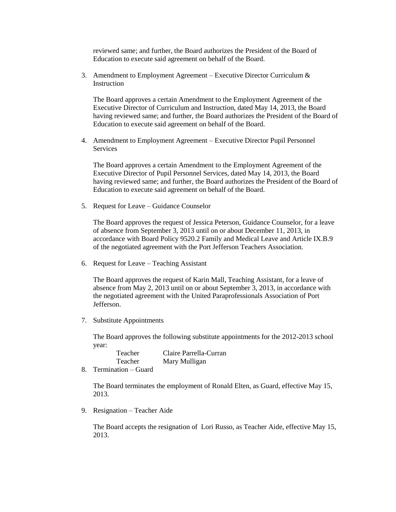reviewed same; and further, the Board authorizes the President of the Board of Education to execute said agreement on behalf of the Board.

3. Amendment to Employment Agreement – Executive Director Curriculum  $\&$ **Instruction** 

The Board approves a certain Amendment to the Employment Agreement of the Executive Director of Curriculum and Instruction, dated May 14, 2013, the Board having reviewed same; and further, the Board authorizes the President of the Board of Education to execute said agreement on behalf of the Board.

4. Amendment to Employment Agreement – Executive Director Pupil Personnel Services

The Board approves a certain Amendment to the Employment Agreement of the Executive Director of Pupil Personnel Services, dated May 14, 2013, the Board having reviewed same; and further, the Board authorizes the President of the Board of Education to execute said agreement on behalf of the Board.

5. Request for Leave – Guidance Counselor

The Board approves the request of Jessica Peterson, Guidance Counselor, for a leave of absence from September 3, 2013 until on or about December 11, 2013, in accordance with Board Policy 9520.2 Family and Medical Leave and Article IX.B.9 of the negotiated agreement with the Port Jefferson Teachers Association.

6. Request for Leave – Teaching Assistant

The Board approves the request of Karin Mall, Teaching Assistant, for a leave of absence from May 2, 2013 until on or about September 3, 2013, in accordance with the negotiated agreement with the United Paraprofessionals Association of Port **Jefferson** 

7. Substitute Appointments

The Board approves the following substitute appointments for the 2012-2013 school year:

| Teacher |  |               |  | Claire Parrella-Curran |  |
|---------|--|---------------|--|------------------------|--|
| Teacher |  |               |  | Mary Mulligan          |  |
|         |  | $\sim$ $\sim$ |  |                        |  |

8. Termination – Guard

The Board terminates the employment of Ronald Elten, as Guard, effective May 15, 2013.

9. Resignation – Teacher Aide

The Board accepts the resignation of Lori Russo, as Teacher Aide, effective May 15, 2013.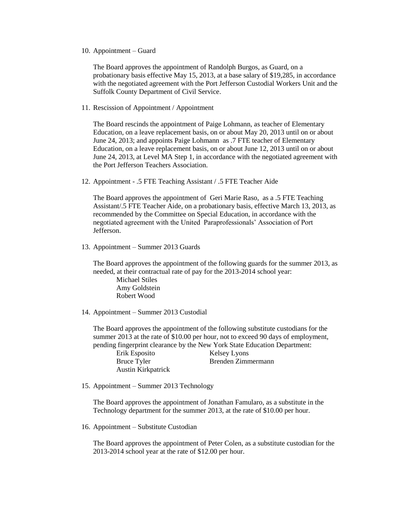10. Appointment – Guard

The Board approves the appointment of Randolph Burgos, as Guard, on a probationary basis effective May 15, 2013, at a base salary of \$19,285, in accordance with the negotiated agreement with the Port Jefferson Custodial Workers Unit and the Suffolk County Department of Civil Service.

11. Rescission of Appointment / Appointment

The Board rescinds the appointment of Paige Lohmann, as teacher of Elementary Education, on a leave replacement basis, on or about May 20, 2013 until on or about June 24, 2013; and appoints Paige Lohmann as .7 FTE teacher of Elementary Education, on a leave replacement basis, on or about June 12, 2013 until on or about June 24, 2013, at Level MA Step 1, in accordance with the negotiated agreement with the Port Jefferson Teachers Association.

12. Appointment - .5 FTE Teaching Assistant / .5 FTE Teacher Aide

The Board approves the appointment of Geri Marie Raso, as a .5 FTE Teaching Assistant/.5 FTE Teacher Aide, on a probationary basis, effective March 13, 2013, as recommended by the Committee on Special Education, in accordance with the negotiated agreement with the United Paraprofessionals' Association of Port Jefferson.

13. Appointment – Summer 2013 Guards

The Board approves the appointment of the following guards for the summer 2013, as needed, at their contractual rate of pay for the 2013-2014 school year:

Michael Stiles Amy Goldstein Robert Wood

14. Appointment – Summer 2013 Custodial

The Board approves the appointment of the following substitute custodians for the summer 2013 at the rate of \$10.00 per hour, not to exceed 90 days of employment, pending fingerprint clearance by the New York State Education Department:

Erik Esposito Kelsey Lyons Bruce Tyler Brenden Zimmermann Austin Kirkpatrick

15. Appointment – Summer 2013 Technology

The Board approves the appointment of Jonathan Famularo, as a substitute in the Technology department for the summer 2013, at the rate of \$10.00 per hour.

16. Appointment – Substitute Custodian

The Board approves the appointment of Peter Colen, as a substitute custodian for the 2013-2014 school year at the rate of \$12.00 per hour.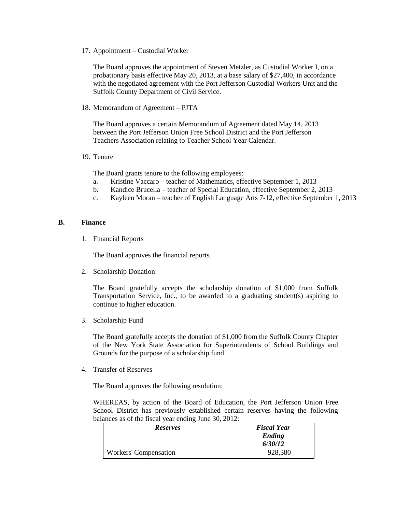17. Appointment – Custodial Worker

The Board approves the appointment of Steven Metzler, as Custodial Worker I, on a probationary basis effective May 20, 2013, at a base salary of \$27,400, in accordance with the negotiated agreement with the Port Jefferson Custodial Workers Unit and the Suffolk County Department of Civil Service.

18. Memorandum of Agreement – PJTA

The Board approves a certain Memorandum of Agreement dated May 14, 2013 between the Port Jefferson Union Free School District and the Port Jefferson Teachers Association relating to Teacher School Year Calendar.

19. Tenure

The Board grants tenure to the following employees:

- a. Kristine Vaccaro teacher of Mathematics, effective September 1, 2013
- b. Kandice Brucella teacher of Special Education, effective September 2, 2013
- c. Kayleen Moran teacher of English Language Arts 7-12, effective September 1, 2013

#### **B. Finance**

1. Financial Reports

The Board approves the financial reports.

2. Scholarship Donation

The Board gratefully accepts the scholarship donation of \$1,000 from Suffolk Transportation Service, Inc., to be awarded to a graduating student(s) aspiring to continue to higher education.

3. Scholarship Fund

The Board gratefully accepts the donation of \$1,000 from the Suffolk County Chapter of the New York State Association for Superintendents of School Buildings and Grounds for the purpose of a scholarship fund.

4. Transfer of Reserves

The Board approves the following resolution:

WHEREAS, by action of the Board of Education, the Port Jefferson Union Free School District has previously established certain reserves having the following balances as of the fiscal year ending June 30, 2012:

| <b>Reserves</b>              | <b>Fiscal Year</b> |  |
|------------------------------|--------------------|--|
|                              | Ending             |  |
|                              | 6/30/12            |  |
| <b>Workers' Compensation</b> | 928,380            |  |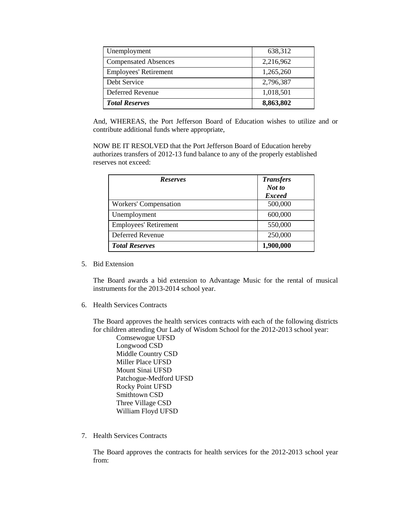| Unemployment                 | 638,312   |  |
|------------------------------|-----------|--|
| <b>Compensated Absences</b>  | 2,216,962 |  |
| <b>Employees' Retirement</b> | 1,265,260 |  |
| Debt Service                 | 2,796,387 |  |
| Deferred Revenue             | 1,018,501 |  |
| <b>Total Reserves</b>        | 8,863,802 |  |

And, WHEREAS, the Port Jefferson Board of Education wishes to utilize and or contribute additional funds where appropriate,

NOW BE IT RESOLVED that the Port Jefferson Board of Education hereby authorizes transfers of 2012-13 fund balance to any of the properly established reserves not exceed:

| <b>Reserves</b>              | <b>Transfers</b><br>Not to<br><b>Exceed</b> |
|------------------------------|---------------------------------------------|
| Workers' Compensation        | 500,000                                     |
| Unemployment                 | 600,000                                     |
| <b>Employees' Retirement</b> | 550,000                                     |
| Deferred Revenue             | 250,000                                     |
| <b>Total Reserves</b>        | 1,900,000                                   |

5. Bid Extension

The Board awards a bid extension to Advantage Music for the rental of musical instruments for the 2013-2014 school year.

6. Health Services Contracts

The Board approves the health services contracts with each of the following districts for children attending Our Lady of Wisdom School for the 2012-2013 school year:

Comsewogue UFSD Longwood CSD Middle Country CSD Miller Place UFSD Mount Sinai UFSD Patchogue-Medford UFSD Rocky Point UFSD Smithtown CSD Three Village CSD William Floyd UFSD

7. Health Services Contracts

The Board approves the contracts for health services for the 2012-2013 school year from: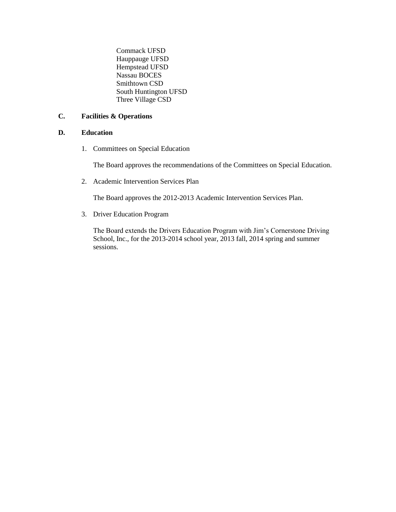Commack UFSD Hauppauge UFSD Hempstead UFSD Nassau BOCES Smithtown CSD South Huntington UFSD Three Village CSD

## **C. Facilities & Operations**

# **D. Education**

1. Committees on Special Education

The Board approves the recommendations of the Committees on Special Education.

2. Academic Intervention Services Plan

The Board approves the 2012-2013 Academic Intervention Services Plan.

3. Driver Education Program

The Board extends the Drivers Education Program with Jim's Cornerstone Driving School, Inc., for the 2013-2014 school year, 2013 fall, 2014 spring and summer sessions.